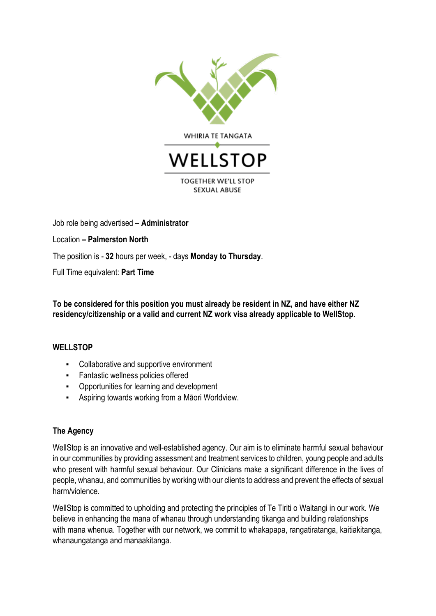

Job role being advertised **– Administrator**

Location **– Palmerston North**

The position is - **32** hours per week, - days **Monday to Thursday**.

Full Time equivalent: **Part Time**

**To be considered for this position you must already be resident in NZ, and have either NZ residency/citizenship or a valid and current NZ work visa already applicable to WellStop.**

## **WELLSTOP**

- Collaborative and supportive environment
- Fantastic wellness policies offered
- Opportunities for learning and development
- **EXECT** Aspiring towards working from a Māori Worldview.

## **The Agency**

WellStop is an innovative and well-established agency. Our aim is to eliminate harmful sexual behaviour in our communities by providing assessment and treatment services to children, young people and adults who present with harmful sexual behaviour. Our Clinicians make a significant difference in the lives of people, whanau, and communities by working with our clients to address and prevent the effects of sexual harm/violence.

WellStop is committed to upholding and protecting the principles of Te Tiriti o Waitangi in our work. We believe in enhancing the mana of whanau through understanding tikanga and building relationships with mana whenua. Together with our network, we commit to whakapapa, rangatiratanga, kaitiakitanga, whanaungatanga and manaakitanga.